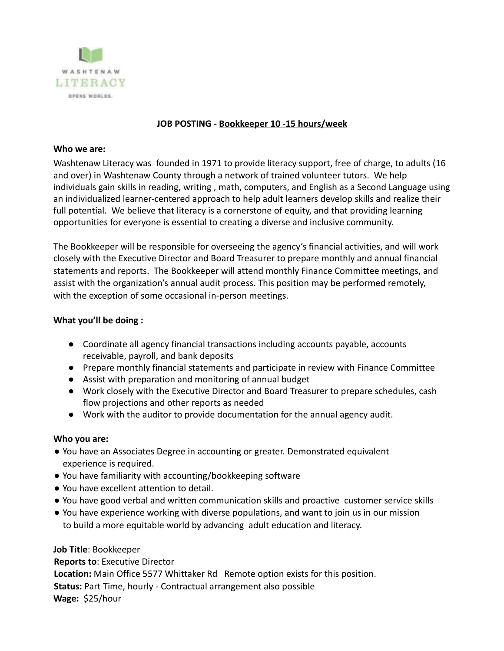

# **JOB POSTING - Bookkeeper 10 -15 hours/week**

### **Who we are:**

Washtenaw Literacy was founded in 1971 to provide literacy support, free of charge, to adults (16 and over) in Washtenaw County through a network of trained volunteer tutors. We help individuals gain skills in reading, writing , math, computers, and English as a Second Language using an individualized learner-centered approach to help adult learners develop skills and realize their full potential. We believe that literacy is a cornerstone of equity, and that providing learning opportunities for everyone is essential to creating a diverse and inclusive community.

The Bookkeeper will be responsible for overseeing the agency's financial activities, and will work closely with the Executive Director and Board Treasurer to prepare monthly and annual financial statements and reports. The Bookkeeper will attend monthly Finance Committee meetings, and assist with the organization's annual audit process. This position may be performed remotely, with the exception of some occasional in-person meetings.

## **What you'll be doing :**

- Coordinate all agency financial transactions including accounts payable, accounts receivable, payroll, and bank deposits
- Prepare monthly financial statements and participate in review with Finance Committee
- Assist with preparation and monitoring of annual budget
- Work closely with the Executive Director and Board Treasurer to prepare schedules, cash flow projections and other reports as needed
- Work with the auditor to provide documentation for the annual agency audit.

## **Who you are:**

- You have an Associates Degree in accounting or greater. Demonstrated equivalent experience is required.
- You have familiarity with accounting/bookkeeping software
- You have excellent attention to detail.
- You have good verbal and written communication skills and proactive customer service skills
- You have experience working with diverse populations, and want to join us in our mission to build a more equitable world by advancing adult education and literacy.

## **Job Title**: Bookkeeper

**Reports to**: Executive Director **Location:** Main Office 5577 Whittaker Rd Remote option exists for this position. **Status:** Part Time, hourly - Contractual arrangement also possible **Wage:** \$25/hour